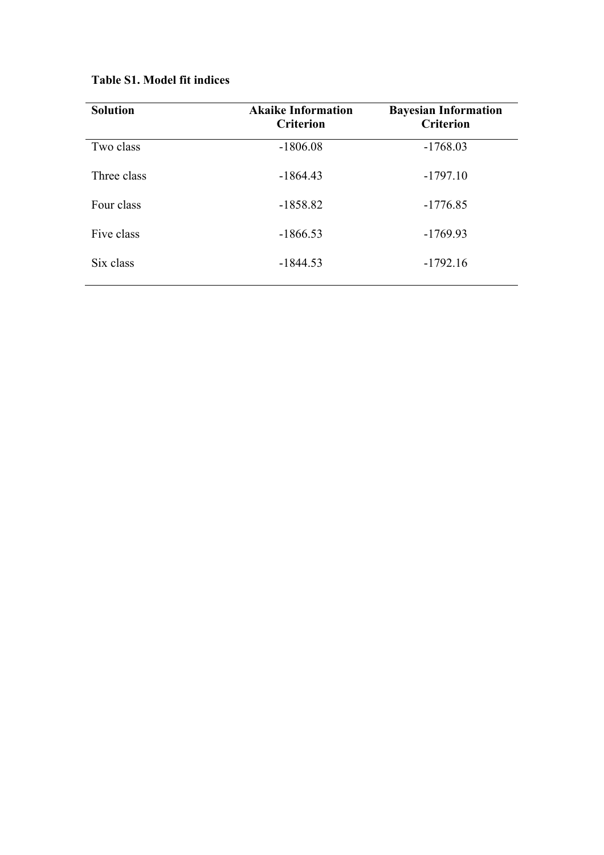|  |  |  |  | <b>Table S1. Model fit indices</b> |
|--|--|--|--|------------------------------------|
|--|--|--|--|------------------------------------|

| <b>Solution</b> | <b>Akaike Information</b><br><b>Criterion</b> | <b>Bayesian Information</b><br><b>Criterion</b> |
|-----------------|-----------------------------------------------|-------------------------------------------------|
| Two class       | $-1806.08$                                    | $-1768.03$                                      |
| Three class     | $-1864.43$                                    | $-1797.10$                                      |
| Four class      | $-1858.82$                                    | $-1776.85$                                      |
| Five class      | $-1866.53$                                    | $-1769.93$                                      |
| Six class       | $-1844.53$                                    | $-1792.16$                                      |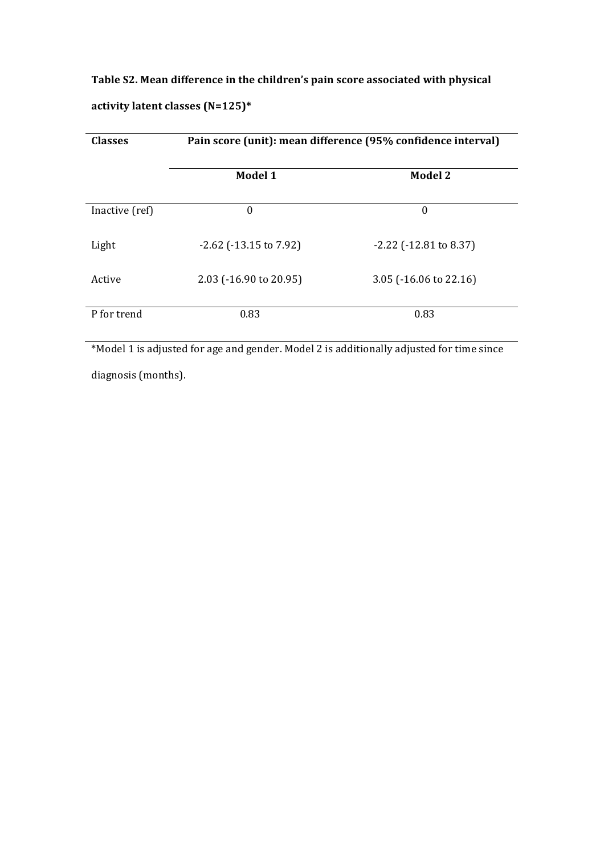Table S2. Mean difference in the children's pain score associated with physical **activity latent classes (N=125)\***

| <b>Classes</b> | Pain score (unit): mean difference (95% confidence interval) |                                   |  |
|----------------|--------------------------------------------------------------|-----------------------------------|--|
|                | Model 1                                                      | <b>Model 2</b>                    |  |
| Inactive (ref) | $\boldsymbol{0}$                                             | $\boldsymbol{0}$                  |  |
| Light          | $-2.62$ ( $-13.15$ to 7.92)                                  | $-2.22$ ( $-12.81$ to 8.37)       |  |
| Active         | $2.03$ ( $-16.90$ to $20.95$ )                               | 3.05 $(-16.06 \text{ to } 22.16)$ |  |
| P for trend    | 0.83                                                         | 0.83                              |  |

\*Model 1 is adjusted for age and gender. Model 2 is additionally adjusted for time since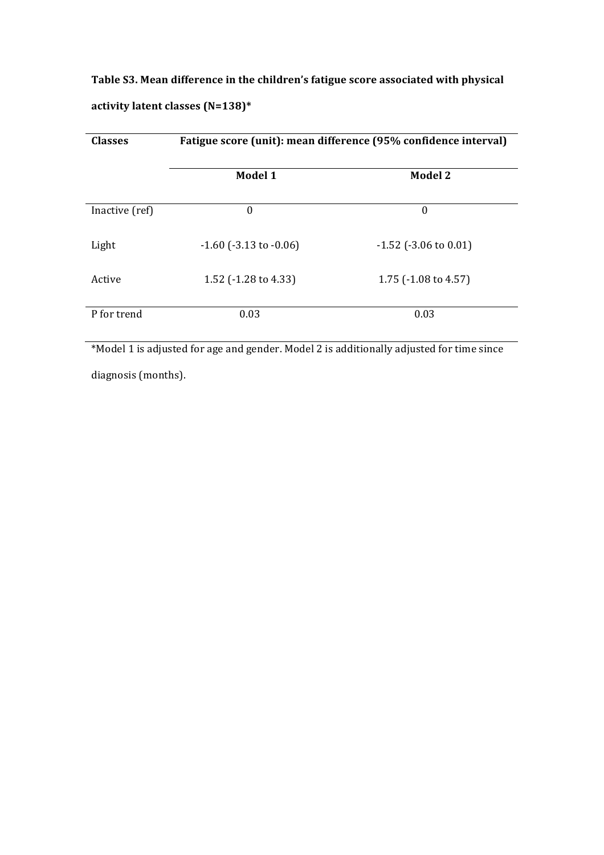Table S3. Mean difference in the children's fatigue score associated with physical **activity latent classes (N=138)\***

| <b>Classes</b> | Fatigue score (unit): mean difference (95% confidence interval) |                                 |  |
|----------------|-----------------------------------------------------------------|---------------------------------|--|
|                | Model 1                                                         | <b>Model 2</b>                  |  |
| Inactive (ref) | $\boldsymbol{0}$                                                | $\boldsymbol{0}$                |  |
| Light          | $-1.60$ ( $-3.13$ to $-0.06$ )                                  | $-1.52$ ( $-3.06$ to 0.01)      |  |
| Active         | 1.52 (-1.28 to 4.33)                                            | 1.75 $(-1.08 \text{ to } 4.57)$ |  |
| P for trend    | 0.03                                                            | 0.03                            |  |

\*Model 1 is adjusted for age and gender. Model 2 is additionally adjusted for time since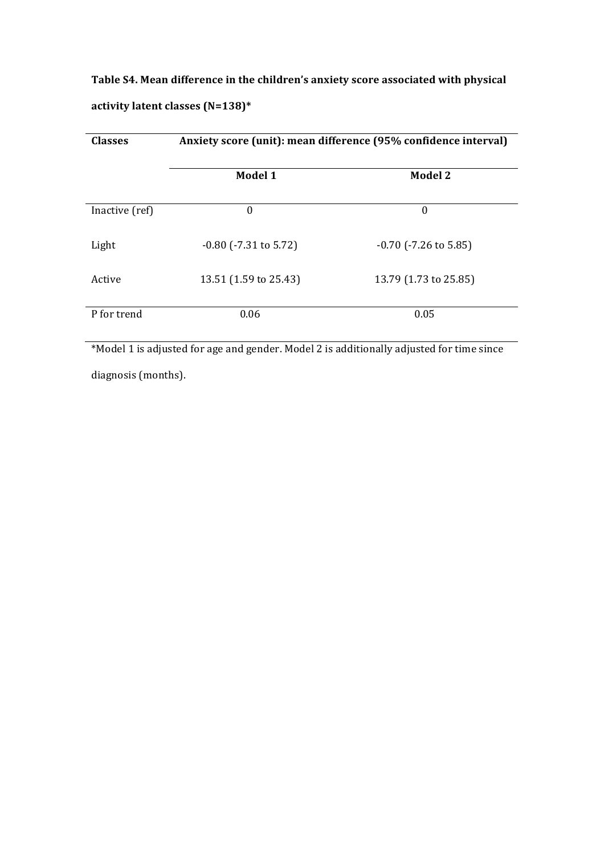Table S4. Mean difference in the children's anxiety score associated with physical **activity latent classes (N=138)\***

| <b>Classes</b> | Anxiety score (unit): mean difference (95% confidence interval) |                            |  |
|----------------|-----------------------------------------------------------------|----------------------------|--|
|                | Model 1                                                         | <b>Model 2</b>             |  |
| Inactive (ref) | 0                                                               | $\boldsymbol{0}$           |  |
| Light          | $-0.80$ ( $-7.31$ to 5.72)                                      | $-0.70$ ( $-7.26$ to 5.85) |  |
| Active         | 13.51 (1.59 to 25.43)                                           | 13.79 (1.73 to 25.85)      |  |
| P for trend    | 0.06                                                            | 0.05                       |  |

\*Model 1 is adjusted for age and gender. Model 2 is additionally adjusted for time since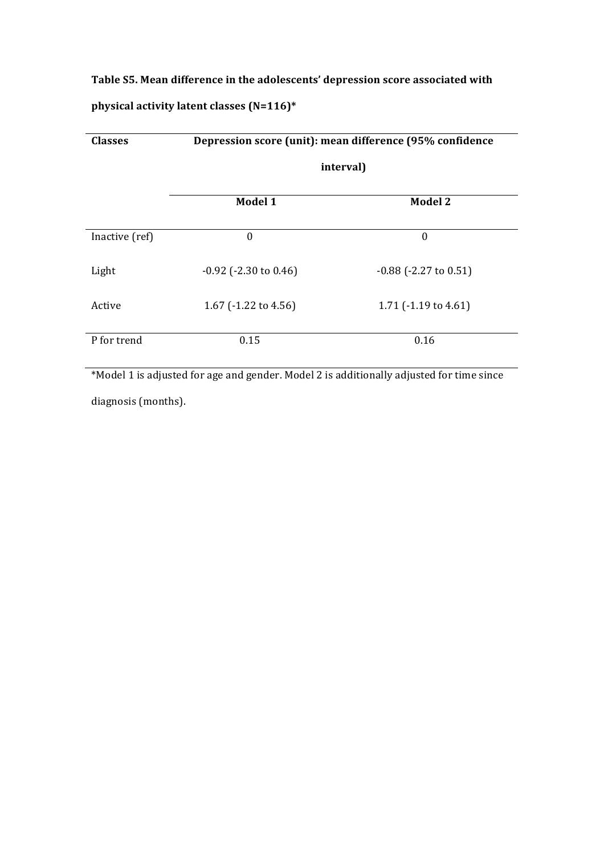## Table S5. Mean difference in the adolescents' depression score associated with **physical activity latent classes (N=116)\***

| <b>Classes</b> | Depression score (unit): mean difference (95% confidence<br>interval) |                                 |  |
|----------------|-----------------------------------------------------------------------|---------------------------------|--|
|                |                                                                       |                                 |  |
|                | Model 1                                                               | <b>Model 2</b>                  |  |
| Inactive (ref) | $\boldsymbol{0}$                                                      | $\boldsymbol{0}$                |  |
| Light          | $-0.92$ ( $-2.30$ to $0.46$ )                                         | $-0.88$ ( $-2.27$ to $0.51$ )   |  |
| Active         | 1.67 (-1.22 to 4.56)                                                  | 1.71 $(-1.19 \text{ to } 4.61)$ |  |
| P for trend    | 0.15                                                                  | 0.16                            |  |

\*Model 1 is adjusted for age and gender. Model 2 is additionally adjusted for time since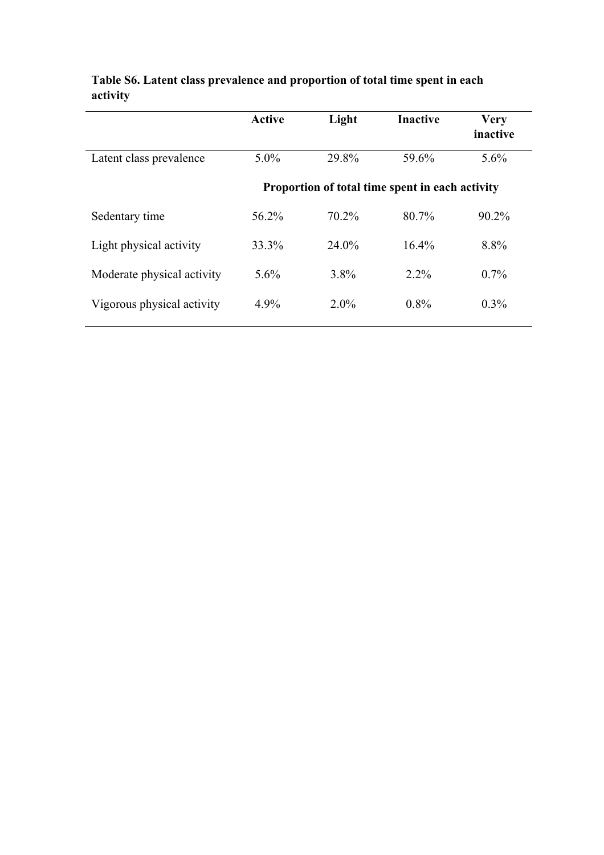|                            | <b>Active</b> | Light   | <b>Inactive</b>                                 | <b>Very</b><br>inactive |
|----------------------------|---------------|---------|-------------------------------------------------|-------------------------|
| Latent class prevalence    | $5.0\%$       | 29.8%   | 59.6%                                           | $5.6\%$                 |
|                            |               |         | Proportion of total time spent in each activity |                         |
| Sedentary time             | 56.2%         | 70.2%   | 80.7%                                           | $90.2\%$                |
| Light physical activity    | 33.3%         | 24.0%   | $16.4\%$                                        | 8.8%                    |
| Moderate physical activity | $5.6\%$       | $3.8\%$ | $2.2\%$                                         | $0.7\%$                 |
| Vigorous physical activity | 4.9%          | $2.0\%$ | $0.8\%$                                         | $0.3\%$                 |

## **Table S6. Latent class prevalence and proportion of total time spent in each activity**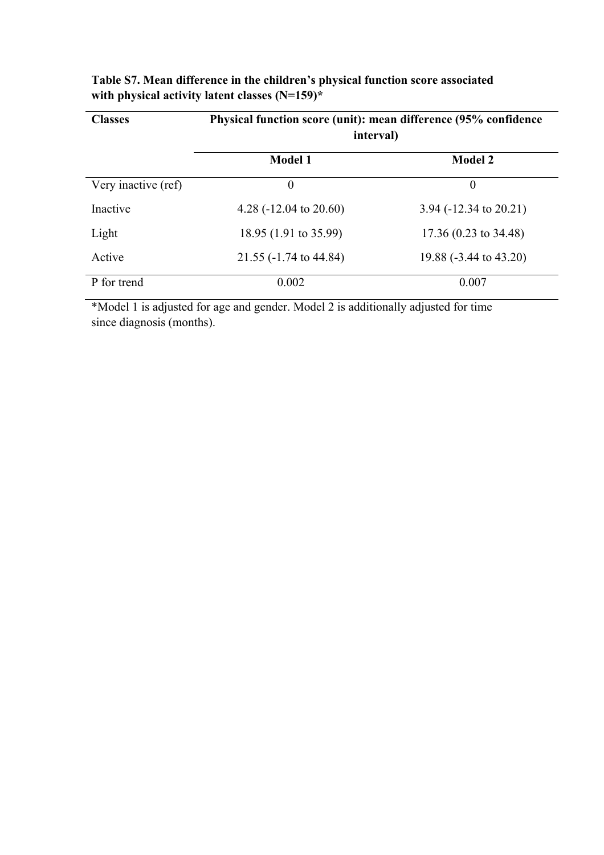| <b>Classes</b>      | Physical function score (unit): mean difference (95% confidence<br>interval) |                                   |  |
|---------------------|------------------------------------------------------------------------------|-----------------------------------|--|
|                     | <b>Model 1</b>                                                               | <b>Model 2</b>                    |  |
| Very inactive (ref) | $\theta$                                                                     | $\overline{0}$                    |  |
| Inactive            | 4.28 $(-12.04 \text{ to } 20.60)$                                            | 3.94 $(-12.34 \text{ to } 20.21)$ |  |
| Light               | 18.95 (1.91 to 35.99)                                                        | 17.36 (0.23 to 34.48)             |  |
| Active              | 21.55 (-1.74 to 44.84)                                                       | 19.88 (-3.44 to 43.20)            |  |
| P for trend         | 0.002                                                                        | 0.007                             |  |

| Table S7. Mean difference in the children's physical function score associated |
|--------------------------------------------------------------------------------|
| with physical activity latent classes $(N=159)^*$                              |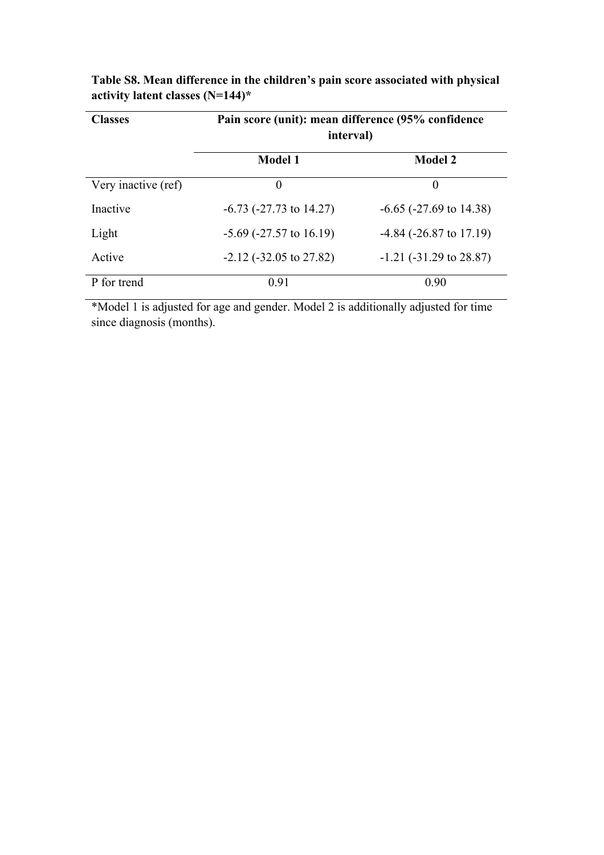| <b>Classes</b>      | Pain score (unit): mean difference (95% confidence<br>interval) |                              |  |
|---------------------|-----------------------------------------------------------------|------------------------------|--|
|                     | <b>Model 1</b>                                                  | <b>Model 2</b>               |  |
| Very inactive (ref) | $\theta$                                                        | $\theta$                     |  |
| Inactive            | $-6.73$ ( $-27.73$ to $14.27$ )                                 | $-6.65$ ( $-27.69$ to 14.38) |  |
| Light               | $-5.69$ ( $-27.57$ to 16.19)                                    | $-4.84$ ( $-26.87$ to 17.19) |  |
| Active              | $-2.12$ ( $-32.05$ to 27.82)                                    | $-1.21$ ( $-31.29$ to 28.87) |  |
| P for trend         | 0.91                                                            | 0.90                         |  |

**Table S8. Mean difference in the children's pain score associated with physical activity latent classes (N=144)\***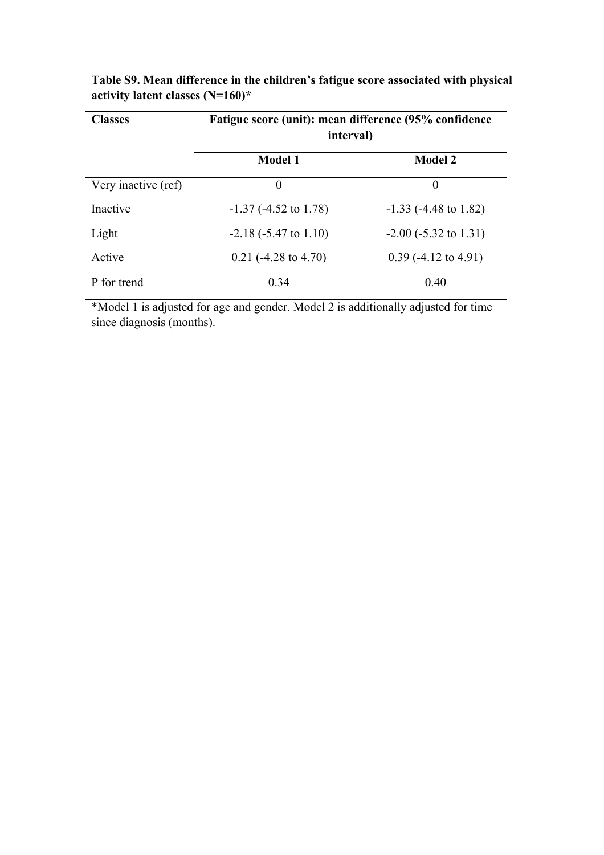| <b>Classes</b>      | Fatigue score (unit): mean difference (95% confidence<br>interval) |                            |  |
|---------------------|--------------------------------------------------------------------|----------------------------|--|
|                     | <b>Model 1</b>                                                     | <b>Model 2</b>             |  |
| Very inactive (ref) | $\theta$                                                           | $\theta$                   |  |
| Inactive            | $-1.37$ ( $-4.52$ to 1.78)                                         | $-1.33$ ( $-4.48$ to 1.82) |  |
| Light               | $-2.18$ ( $-5.47$ to 1.10)                                         | $-2.00$ ( $-5.32$ to 1.31) |  |
| Active              | $0.21$ (-4.28 to 4.70)                                             | $0.39$ (-4.12 to 4.91)     |  |
| P for trend         | 0.34                                                               | 0.40                       |  |

**Table S9. Mean difference in the children's fatigue score associated with physical activity latent classes (N=160)\***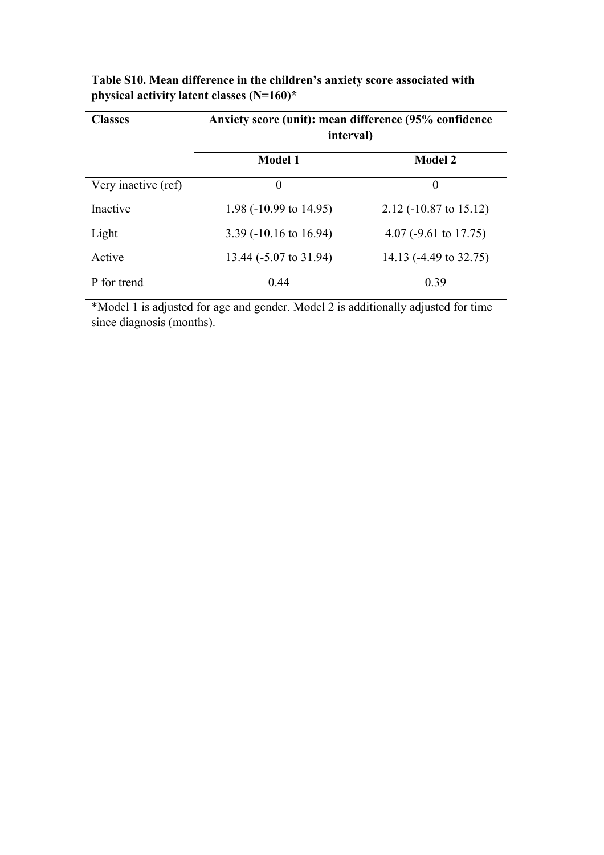| <b>Classes</b>      | Anxiety score (unit): mean difference (95% confidence<br>interval) |                          |  |
|---------------------|--------------------------------------------------------------------|--------------------------|--|
|                     | <b>Model 1</b>                                                     | <b>Model 2</b>           |  |
| Very inactive (ref) | $\theta$                                                           | $\theta$                 |  |
| Inactive            | 1.98 (-10.99 to 14.95)                                             | $2.12$ (-10.87 to 15.12) |  |
| Light               | $3.39$ (-10.16 to 16.94)                                           | 4.07 (-9.61 to 17.75)    |  |
| Active              | 13.44 (-5.07 to 31.94)                                             | 14.13 (-4.49 to 32.75)   |  |
| P for trend         | 0.44                                                               | 0.39                     |  |

**Table S10. Mean difference in the children's anxiety score associated with physical activity latent classes (N=160)\***